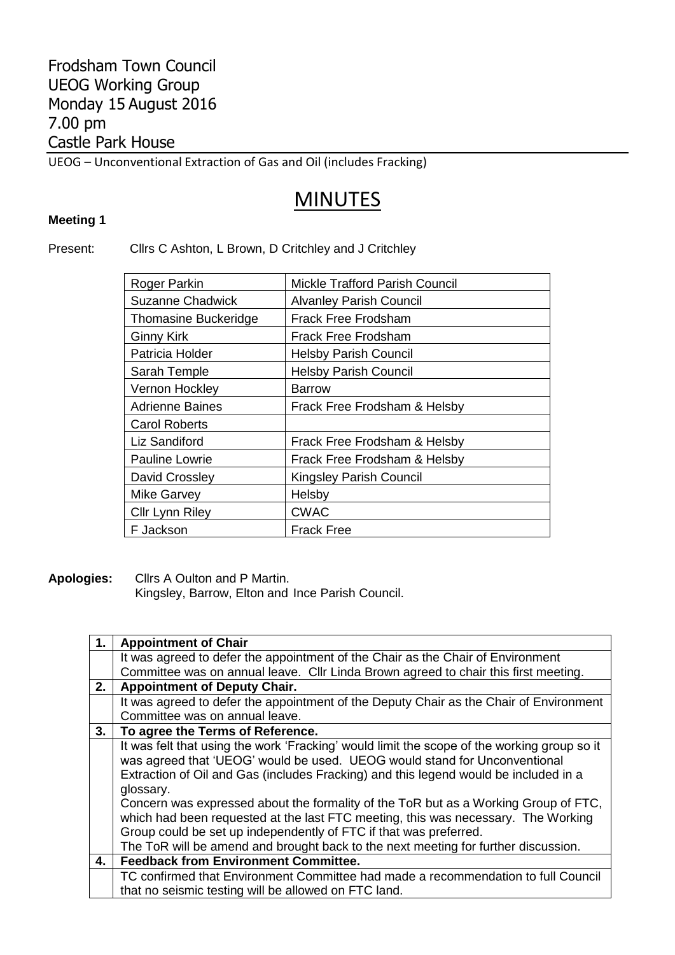## Frodsham Town Council UEOG Working Group Monday 15 August 2016 7.00 pm Castle Park House

UEOG – Unconventional Extraction of Gas and Oil (includes Fracking)

## MINUTES

## **Meeting 1**

## Present: Cllrs C Ashton, L Brown, D Critchley and J Critchley

| <b>Mickle Trafford Parish Council</b> |
|---------------------------------------|
| <b>Alvanley Parish Council</b>        |
| Frack Free Frodsham                   |
| Frack Free Frodsham                   |
| <b>Helsby Parish Council</b>          |
| <b>Helsby Parish Council</b>          |
| <b>Barrow</b>                         |
| Frack Free Frodsham & Helsby          |
|                                       |
| Frack Free Frodsham & Helsby          |
| Frack Free Frodsham & Helsby          |
| <b>Kingsley Parish Council</b>        |
| Helsby                                |
| <b>CWAC</b>                           |
| Frack Free                            |
|                                       |

**Apologies:** Cllrs A Oulton and P Martin.

Kingsley, Barrow, Elton and Ince Parish Council.

| 1. | <b>Appointment of Chair</b>                                                                 |
|----|---------------------------------------------------------------------------------------------|
|    | It was agreed to defer the appointment of the Chair as the Chair of Environment             |
|    | Committee was on annual leave. Cllr Linda Brown agreed to chair this first meeting.         |
| 2. | <b>Appointment of Deputy Chair.</b>                                                         |
|    | It was agreed to defer the appointment of the Deputy Chair as the Chair of Environment      |
|    | Committee was on annual leave.                                                              |
| 3. | To agree the Terms of Reference.                                                            |
|    | It was felt that using the work 'Fracking' would limit the scope of the working group so it |
|    | was agreed that 'UEOG' would be used. UEOG would stand for Unconventional                   |
|    | Extraction of Oil and Gas (includes Fracking) and this legend would be included in a        |
|    | glossary.                                                                                   |
|    | Concern was expressed about the formality of the ToR but as a Working Group of FTC,         |
|    | which had been requested at the last FTC meeting, this was necessary. The Working           |
|    | Group could be set up independently of FTC if that was preferred.                           |
|    | The ToR will be amend and brought back to the next meeting for further discussion.          |
| 4. | <b>Feedback from Environment Committee.</b>                                                 |
|    | TC confirmed that Environment Committee had made a recommendation to full Council           |
|    | that no seismic testing will be allowed on FTC land.                                        |